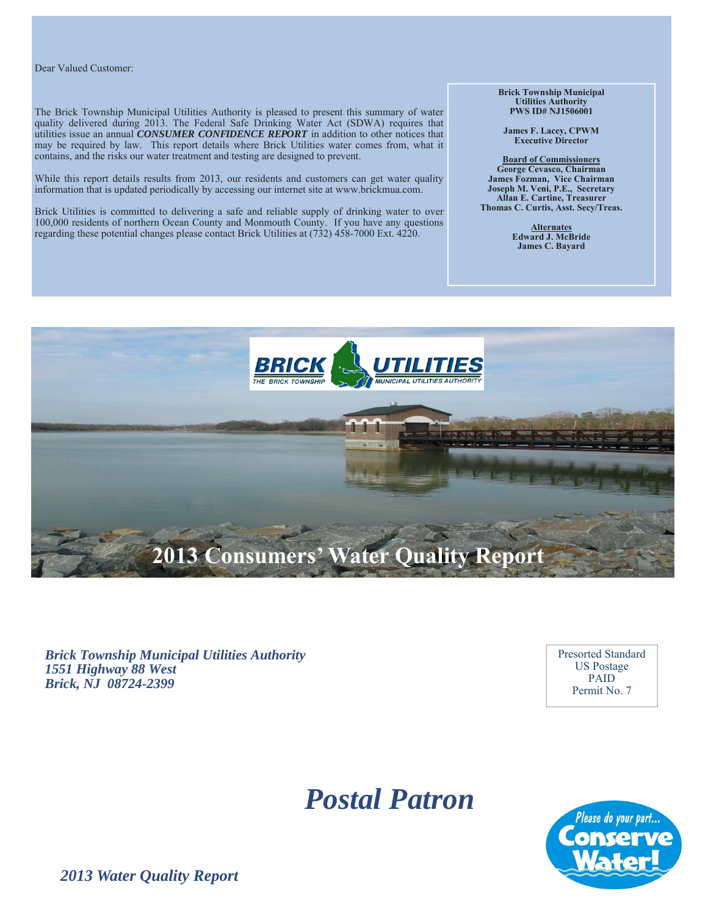#### Dear Valued Customer:

The Brick Township Municipal Utilities Authority is pleased to present this summary of water quality delivered during 2013. The Federal Safe Drinking Water Act (SDWA) requires that utilities issue an annual *CONSUMER CONFIDENCE REPORT* in addition to other notices that may be required by law. This report details where Brick Utilities water comes from, what it contains, and the risks our water treatment and testing are designed to prevent.

While this report details results from 2013, our residents and customers can get water quality information that is updated periodically by accessing our internet site at www.brickmua.com.

Brick Utilities is committed to delivering a safe and reliable supply of drinking water to over 100,000 residents of northern Ocean County and Monmouth County. If you have any questions regarding these potential changes please contact Brick Utilities at (732) 458-7000 Ext. 4220.

**Brick Township Municipal Utilities Authority PWS ID# NJ1506001** 

**James F. Lacey, CPWM Executive Director** 

**Board of Commissioners George Cevasco, Chairman James Fozman, Vice Chairman Joseph M. Veni, P.E., Secretary Allan E. Cartine, Treasurer Thomas C. Curtis, Asst. Secy/Treas.** 

> **Alternates Edward J. McBride James C. Bayard**



*Brick Township Municipal Utilities Authority 1551 Highway 88 West Brick, NJ 08724-2399* 

Presorted Standard US Postage PAID Permit No. 7

# *Postal Patron*



*2013 Water Quality Report*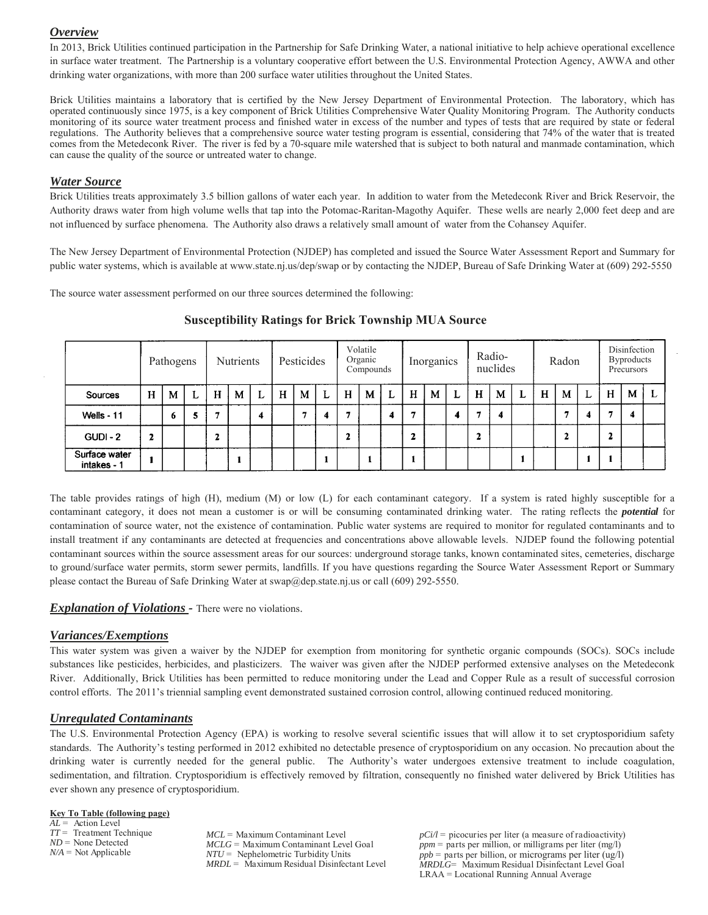# *Overview*

In 2013, Brick Utilities continued participation in the Partnership for Safe Drinking Water, a national initiative to help achieve operational excellence in surface water treatment. The Partnership is a voluntary cooperative effort between the U.S. Environmental Protection Agency, AWWA and other drinking water organizations, with more than 200 surface water utilities throughout the United States.

Brick Utilities maintains a laboratory that is certified by the New Jersey Department of Environmental Protection. The laboratory, which has operated continuously since 1975, is a key component of Brick Utilities Comprehensive Water Quality Monitoring Program. The Authority conducts monitoring of its source water treatment process and finished water in excess of the number and types of tests that are required by state or federal regulations. The Authority believes that a comprehensive source water testing program is essential, considering that 74% of the water that is treated comes from the Metedeconk River. The river is fed by a 70-square mile watershed that is subject to both natural and manmade contamination, which can cause the quality of the source or untreated water to change.

## *Water Source*

Brick Utilities treats approximately 3.5 billion gallons of water each year. In addition to water from the Metedeconk River and Brick Reservoir, the Authority draws water from high volume wells that tap into the Potomac-Raritan-Magothy Aquifer. These wells are nearly 2,000 feet deep and are not influenced by surface phenomena. The Authority also draws a relatively small amount of water from the Cohansey Aquifer.

The New Jersey Department of Environmental Protection (NJDEP) has completed and issued the Source Water Assessment Report and Summary for public water systems, which is available at www.state.nj.us/dep/swap or by contacting the NJDEP, Bureau of Safe Drinking Water at (609) 292-5550

The source water assessment performed on our three sources determined the following:

|                              | Pathogens |   | <b>Nutrients</b> |   | Pesticides |                         | Volatile<br>Organic<br>Compounds |   | Inorganics |              | Radio-<br>nuclides |   | Radon |   |   | Disinfection<br><b>Byproducts</b><br>Precursors |   |  |   |    |   |        |   |  |
|------------------------------|-----------|---|------------------|---|------------|-------------------------|----------------------------------|---|------------|--------------|--------------------|---|-------|---|---|-------------------------------------------------|---|--|---|----|---|--------|---|--|
| Sources                      | H         | M | L                | H | M          | L                       | H                                | M | L          | H            | M                  | L | Н     | M | L | H                                               | М |  | н | M  | L | н      | M |  |
| Wells - 11                   |           | 6 | 5                |   |            | $\overline{\mathbf{4}}$ |                                  | е | 4          |              |                    | 4 |       |   | 4 | .,                                              | 4 |  |   | ., | 4 | п      | 4 |  |
| <b>GUDI - 2</b>              | 2         |   |                  |   |            |                         |                                  |   |            | $\mathbf{2}$ |                    |   | ∍     |   |   |                                                 |   |  |   | 2  |   | л<br>▴ |   |  |
| Surface water<br>intakes - 1 |           |   |                  |   |            |                         |                                  |   |            |              |                    |   |       |   |   |                                                 |   |  |   |    |   |        |   |  |

## **Susceptibility Ratings for Brick Township MUA Source**

The table provides ratings of high (H), medium (M) or low (L) for each contaminant category. If a system is rated highly susceptible for a contaminant category, it does not mean a customer is or will be consuming contaminated drinking water. The rating reflects the *potential* for contamination of source water, not the existence of contamination. Public water systems are required to monitor for regulated contaminants and to install treatment if any contaminants are detected at frequencies and concentrations above allowable levels. NJDEP found the following potential contaminant sources within the source assessment areas for our sources: underground storage tanks, known contaminated sites, cemeteries, discharge to ground/surface water permits, storm sewer permits, landfills. If you have questions regarding the Source Water Assessment Report or Summary please contact the Bureau of Safe Drinking Water at swap@dep.state.nj.us or call (609) 292-5550.

## *Explanation of Violations -* There were no violations.

# *Variances/Exemptions*

This water system was given a waiver by the NJDEP for exemption from monitoring for synthetic organic compounds (SOCs). SOCs include substances like pesticides, herbicides, and plasticizers. The waiver was given after the NJDEP performed extensive analyses on the Metedeconk River. Additionally, Brick Utilities has been permitted to reduce monitoring under the Lead and Copper Rule as a result of successful corrosion control efforts. The 2011's triennial sampling event demonstrated sustained corrosion control, allowing continued reduced monitoring.

# *Unregulated Contaminants*

The U.S. Environmental Protection Agency (EPA) is working to resolve several scientific issues that will allow it to set cryptosporidium safety standards. The Authority's testing performed in 2012 exhibited no detectable presence of cryptosporidium on any occasion. No precaution about the drinking water is currently needed for the general public. The Authority's water undergoes extensive treatment to include coagulation, sedimentation, and filtration. Cryptosporidium is effectively removed by filtration, consequently no finished water delivered by Brick Utilities has ever shown any presence of cryptosporidium.

#### **Key To Table (following page)**

*AL* = Action Level *TT* = Treatment Technique *ND* = None Detected *N/A* = Not Applicable

*MCL* = Maximum Contaminant Level *MCLG* = Maximum Contaminant Level Goal *NTU* = Nephelometric Turbidity Units *MRDL* = Maximum Residual Disinfectant Level

 $pCi/l$  = picocuries per liter (a measure of radioactivity)  $ppm =$  parts per million, or milligrams per liter (mg/l) *ppb* = parts per billion, or micrograms per liter (ug/l) *MRDLG*= Maximum Residual Disinfectant Level Goal LRAA = Locational Running Annual Average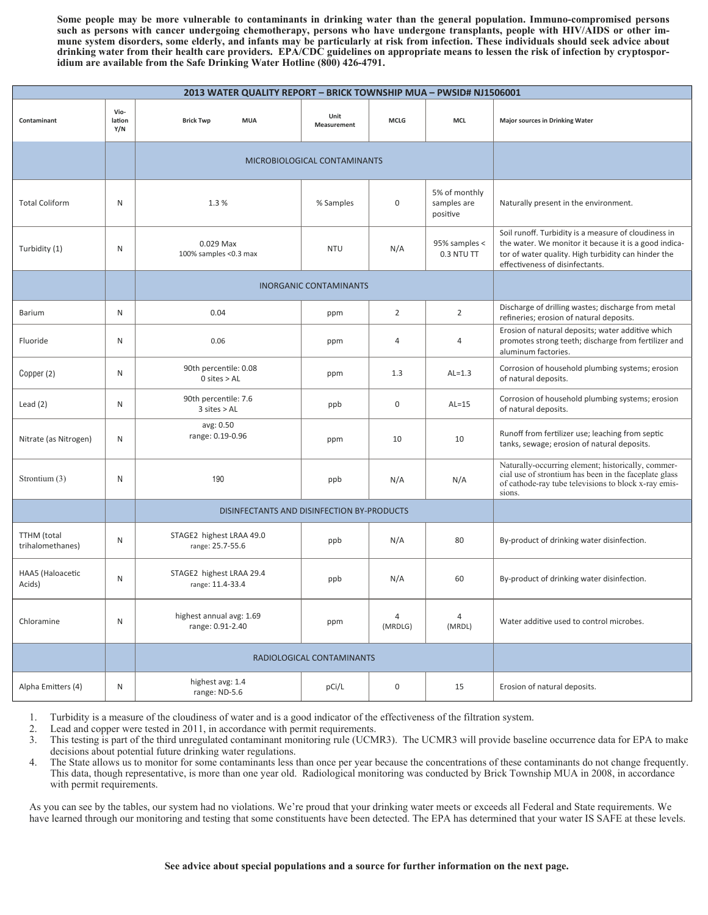**Some people may be more vulnerable to contaminants in drinking water than the general population. Immuno-compromised persons such as persons with cancer undergoing chemotherapy, persons who have undergone transplants, people with HIV/AIDS or other immune system disorders, some elderly, and infants may be particularly at risk from infection. These individuals should seek advice about drinking water from their health care providers. EPA/CDC guidelines on appropriate means to lessen the risk of infection by cryptosporidium are available from the Safe Drinking Water Hotline (800) 426-4791.** 

|                                        | 2013 WATER QUALITY REPORT - BRICK TOWNSHIP MUA - PWSID# NJ1506001 |                                              |                     |                |                                          |                                                                                                                                                                                                         |  |  |  |  |  |  |
|----------------------------------------|-------------------------------------------------------------------|----------------------------------------------|---------------------|----------------|------------------------------------------|---------------------------------------------------------------------------------------------------------------------------------------------------------------------------------------------------------|--|--|--|--|--|--|
| Contaminant                            | Vio-<br>lation<br>Y/N                                             | <b>Brick Twp</b><br><b>MUA</b>               | Unit<br>Measurement | <b>MCLG</b>    | <b>MCL</b>                               | <b>Major sources in Drinking Water</b>                                                                                                                                                                  |  |  |  |  |  |  |
|                                        |                                                                   | MICROBIOLOGICAL CONTAMINANTS                 |                     |                |                                          |                                                                                                                                                                                                         |  |  |  |  |  |  |
| <b>Total Coliform</b>                  | N                                                                 | 1.3%                                         | % Samples           | 0              | 5% of monthly<br>samples are<br>positive | Naturally present in the environment.                                                                                                                                                                   |  |  |  |  |  |  |
| Turbidity (1)                          | N                                                                 | 0.029 Max<br>100% samples <0.3 max           | <b>NTU</b>          | N/A            | 95% samples <<br>0.3 NTU TT              | Soil runoff. Turbidity is a measure of cloudiness in<br>the water. We monitor it because it is a good indica-<br>tor of water quality. High turbidity can hinder the<br>effectiveness of disinfectants. |  |  |  |  |  |  |
|                                        |                                                                   | <b>INORGANIC CONTAMINANTS</b>                |                     |                |                                          |                                                                                                                                                                                                         |  |  |  |  |  |  |
| Barium                                 | N                                                                 | 0.04                                         | ppm                 | $\overline{2}$ | $\overline{2}$                           | Discharge of drilling wastes; discharge from metal<br>refineries; erosion of natural deposits.                                                                                                          |  |  |  |  |  |  |
| Fluoride                               | N                                                                 | 0.06                                         | ppm                 | 4              | $\overline{4}$                           | Erosion of natural deposits; water additive which<br>promotes strong teeth; discharge from fertilizer and<br>aluminum factories.                                                                        |  |  |  |  |  |  |
| Copper (2)                             | N                                                                 | 90th percentile: 0.08<br>$0$ sites $>$ AL    | ppm                 | 1.3            | $AL=1.3$                                 | Corrosion of household plumbing systems; erosion<br>of natural deposits.                                                                                                                                |  |  |  |  |  |  |
| Lead $(2)$                             | N                                                                 | 90th percentile: 7.6<br>$3$ sites $>$ AL     | ppb                 | 0              | $AL=15$                                  | Corrosion of household plumbing systems; erosion<br>of natural deposits.                                                                                                                                |  |  |  |  |  |  |
| Nitrate (as Nitrogen)                  | N                                                                 | avg: 0.50<br>range: 0.19-0.96                | ppm                 | 10             | 10                                       | Runoff from fertilizer use; leaching from septic<br>tanks, sewage; erosion of natural deposits.                                                                                                         |  |  |  |  |  |  |
| Strontium (3)                          | N                                                                 | 190                                          | ppb                 | N/A            | N/A                                      | Naturally-occurring element; historically, commer-<br>cial use of strontium has been in the faceplate glass<br>of cathode-ray tube televisions to block x-ray emis-<br>sions.                           |  |  |  |  |  |  |
|                                        |                                                                   | DISINFECTANTS AND DISINFECTION BY-PRODUCTS   |                     |                |                                          |                                                                                                                                                                                                         |  |  |  |  |  |  |
| <b>TTHM</b> (total<br>trihalomethanes) | N                                                                 | STAGE2 highest LRAA 49.0<br>range: 25.7-55.6 | ppb                 | N/A            | 80                                       | By-product of drinking water disinfection.                                                                                                                                                              |  |  |  |  |  |  |
| HAA5 (Haloacetic<br>Acids)             | N                                                                 | STAGE2 highest LRAA 29.4<br>range: 11.4-33.4 | ppb                 | N/A            | 60                                       | By-product of drinking water disinfection.                                                                                                                                                              |  |  |  |  |  |  |
| Chloramine                             | N                                                                 | highest annual avg: 1.69<br>range: 0.91-2.40 | ppm                 | 4<br>(MRDLG)   | 4<br>(MRDL)                              | Water additive used to control microbes.                                                                                                                                                                |  |  |  |  |  |  |
|                                        |                                                                   | RADIOLOGICAL CONTAMINANTS                    |                     |                |                                          |                                                                                                                                                                                                         |  |  |  |  |  |  |
| Alpha Emitters (4)                     | N                                                                 | highest avg: 1.4<br>range: ND-5.6            | pCi/L               | 0              | 15                                       | Erosion of natural deposits.                                                                                                                                                                            |  |  |  |  |  |  |

1. Turbidity is a measure of the cloudiness of water and is a good indicator of the effectiveness of the filtration system.

2. Lead and copper were tested in 2011, in accordance with permit requirements.

3. This testing is part of the third unregulated contaminant monitoring rule (UCMR3). The UCMR3 will provide baseline occurrence data for EPA to make decisions about potential future drinking water regulations.

4. The State allows us to monitor for some contaminants less than once per year because the concentrations of these contaminants do not change frequently. This data, though representative, is more than one year old. Radiological monitoring was conducted by Brick Township MUA in 2008, in accordance with permit requirements.

As you can see by the tables, our system had no violations. We're proud that your drinking water meets or exceeds all Federal and State requirements. We have learned through our monitoring and testing that some constituents have been detected. The EPA has determined that your water IS SAFE at these levels.